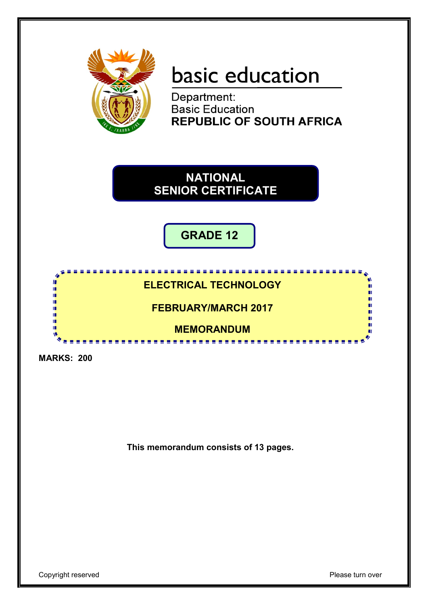

# basic education

Department: **Basic Education REPUBLIC OF SOUTH AFRICA** 

**NATIONAL SENIOR CERTIFICATE**

**GRADE 12**

## **ELECTRICAL TECHNOLOGY**

<u>....................</u>

## **FEBRUARY/MARCH 2017**

## **MEMORANDUM**

**MARKS: 200**

т ú m ı٣

ı٣ т m

**This memorandum consists of 13 pages.**

ш

П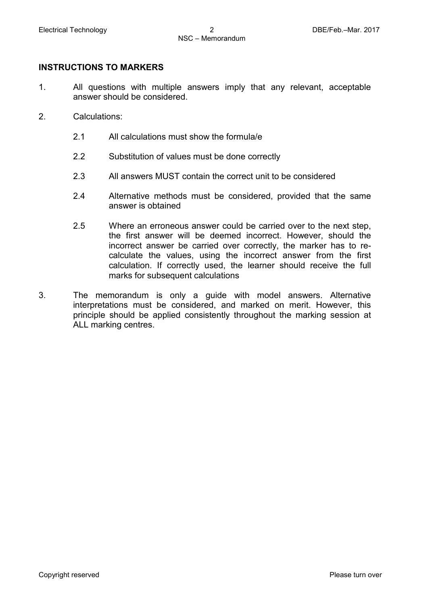#### **INSTRUCTIONS TO MARKERS**

- 1. All questions with multiple answers imply that any relevant, acceptable answer should be considered.
- 2. Calculations:
	- 2.1 All calculations must show the formula/e
	- 2.2 Substitution of values must be done correctly
	- 2.3 All answers MUST contain the correct unit to be considered
	- 2.4 Alternative methods must be considered, provided that the same answer is obtained
	- 2.5 Where an erroneous answer could be carried over to the next step, the first answer will be deemed incorrect. However, should the incorrect answer be carried over correctly, the marker has to recalculate the values, using the incorrect answer from the first calculation. If correctly used, the learner should receive the full marks for subsequent calculations
- 3. The memorandum is only a guide with model answers. Alternative interpretations must be considered, and marked on merit. However, this principle should be applied consistently throughout the marking session at ALL marking centres.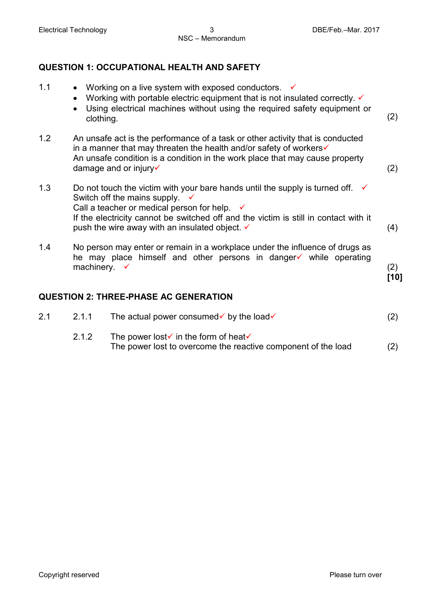### **QUESTION 1: OCCUPATIONAL HEALTH AND SAFETY**

1.1 • Working on a live system with exposed conductors.  $\checkmark$ • Working with portable electric equipment that is not insulated correctly.  $\checkmark$ • Using electrical machines without using the required safety equipment or clothing. (2) 1.2 An unsafe act is the performance of a task or other activity that is conducted in a manner that may threaten the health and/or safety of workers An unsafe condition is a condition in the work place that may cause property  $d$  damage and or injury  $\checkmark$  (2) 1.3 Do not touch the victim with your bare hands until the supply is turned off.  $\checkmark$ Switch off the mains supply. Call a teacher or medical person for help.  $\checkmark$ If the electricity cannot be switched off and the victim is still in contact with it push the wire away with an insulated object.  $\checkmark$  and  $\checkmark$  (4) 1.4 No person may enter or remain in a workplace under the influence of drugs as he may place himself and other persons in danger  $\checkmark$  while operating machinery.  $\checkmark$  (2) **[10] QUESTION 2: THREE-PHASE AC GENERATION** 2.1 2.1.1 The actual power consumed by the load  $(2)$ 2.1.2 The power lost in the form of heat The power lost to overcome the reactive component of the load (2)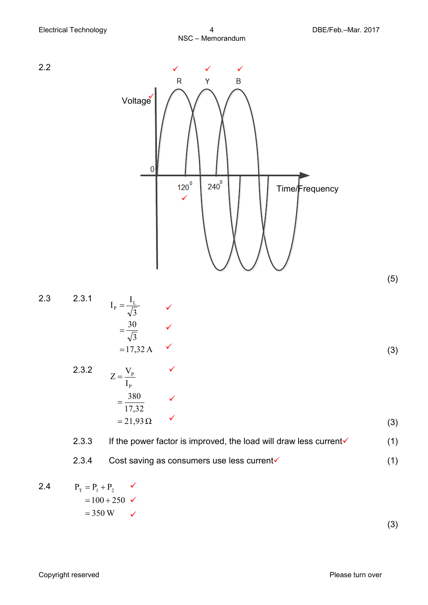

Copyright reserved **Please** turn over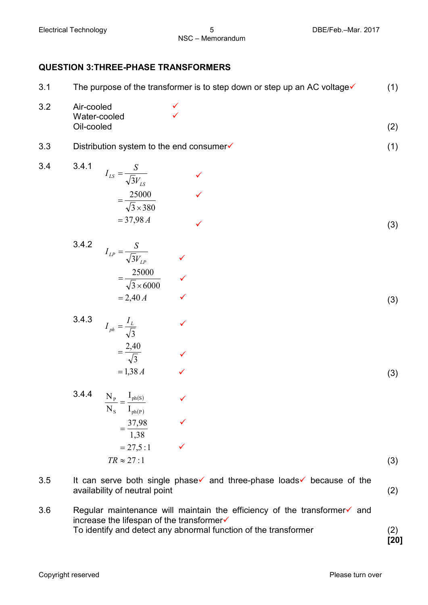#### **QUESTION 3:THREE-PHASE TRANSFORMERS**

| 3.1 | The purpose of the transformer is to step down or step up an AC voltage√                                                                                  | (1) |  |
|-----|-----------------------------------------------------------------------------------------------------------------------------------------------------------|-----|--|
| 3.2 | Air-cooled<br>Water-cooled<br>Oil-cooled                                                                                                                  | (2) |  |
| 3.3 | Distribution system to the end consumer√                                                                                                                  |     |  |
| 3.4 | 3.4.1<br>$I_{LS} = \frac{S}{\sqrt{3}V_{LS}}$<br>$=\frac{25000}{\sqrt{3}\times380}$<br>$= 37,98 A$                                                         | (3) |  |
|     | 3.4.2<br>$I_{LP} = \frac{S}{\sqrt{3}V_{LP}}$<br>$=\frac{25000}{\sqrt{3}\times 6000}$ $\checkmark$<br>$= 2,40 A$                                           | (3) |  |
|     | 3.4.3<br>$I_{ph} = \frac{I_L}{\sqrt{3}}$<br>$=\frac{2,40}{\sqrt{3}}$<br>$= 1,38 A$                                                                        | (3) |  |
|     | 3.4.4<br>$\frac{N_{P}}{N_{P}}=\frac{I_{ph(s)}}{N_{ph(s)}}$<br>$\sqrt{2}$<br>$N_S$ $I_{ph(P)}$<br>$=\frac{37,98}{1,38}$<br>$= 27,5:1$<br>$TR \approx 27:1$ | (3) |  |
| 3.5 | It can serve both single phase and three-phase loads because of the<br>availability of neutral point                                                      | (2) |  |

3.6 Regular maintenance will maintain the efficiency of the transformer $\checkmark$  and increase the lifespan of the transformer To identify and detect any abnormal function of the transformer (2)

**[20]**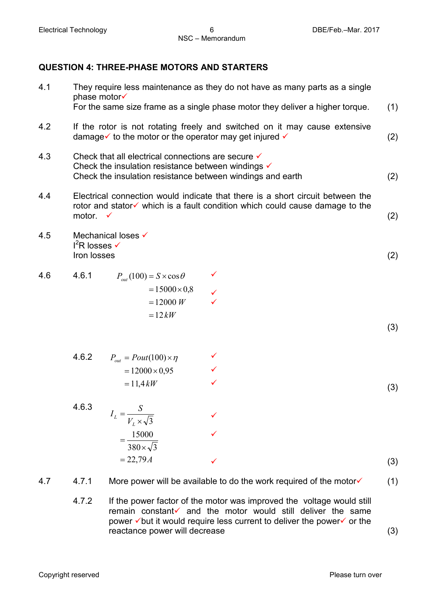#### **QUESTION 4: THREE-PHASE MOTORS AND STARTERS**

| 4.1 | They require less maintenance as they do not have as many parts as a single<br>phase motor√<br>For the same size frame as a single phase motor they deliver a higher torque.                 |                                                                                               |                                                                                                                                            |     |
|-----|----------------------------------------------------------------------------------------------------------------------------------------------------------------------------------------------|-----------------------------------------------------------------------------------------------|--------------------------------------------------------------------------------------------------------------------------------------------|-----|
| 4.2 | If the rotor is not rotating freely and switched on it may cause extensive<br>damage $\checkmark$ to the motor or the operator may get injured $\checkmark$                                  |                                                                                               |                                                                                                                                            |     |
| 4.3 | Check that all electrical connections are secure <del>V</del><br>Check the insulation resistance between windings $\checkmark$<br>Check the insulation resistance between windings and earth |                                                                                               |                                                                                                                                            |     |
| 4.4 | Electrical connection would indicate that there is a short circuit between the<br>rotor and stator√ which is a fault condition which could cause damage to the<br>motor.<br>$\checkmark$     |                                                                                               |                                                                                                                                            |     |
| 4.5 | $I^2$ R losses $\checkmark$<br>Iron losses                                                                                                                                                   | Mechanical loses √                                                                            |                                                                                                                                            | (2) |
| 4.6 | 4.6.1                                                                                                                                                                                        | $P_{out}(100) = S \times \cos \theta$<br>$= 15000 \times 0.8$<br>$= 12000 W$<br>$=12kW$       |                                                                                                                                            | (3) |
|     | 4.6.2                                                                                                                                                                                        | $P_{out} = Pout(100) \times \eta$<br>$= 12000 \times 0.95$<br>$= 11.4 \, kW$                  | $\checkmark$                                                                                                                               | (3) |
|     | 4.6.3                                                                                                                                                                                        | $I_L = \frac{S}{V_L \times \sqrt{3}}$<br>15000<br>$\frac{1}{380\times\sqrt{3}}$<br>$= 22,79A$ |                                                                                                                                            | (3) |
| 4.7 | 4.7.1<br>4.7.2                                                                                                                                                                               |                                                                                               | More power will be available to do the work required of the motor<br>If the power factor of the motor was improved the voltage would still | (1) |
|     |                                                                                                                                                                                              |                                                                                               |                                                                                                                                            |     |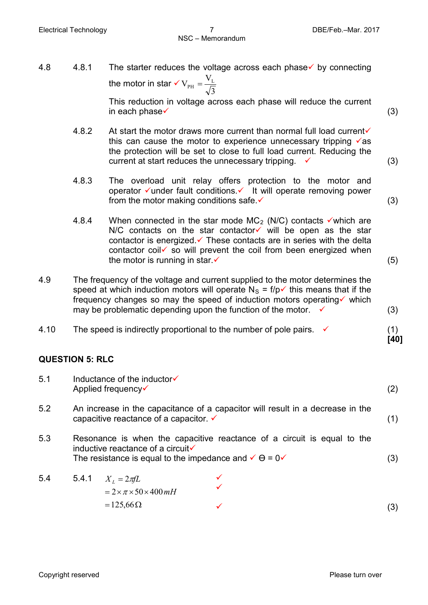| 4.8                    | 4.8.1                                                                                                                                                                                                                                                                                                                   | The starter reduces the voltage across each phase $\checkmark$ by connecting<br>the motor in star $\checkmark V_{\rm PH} = \frac{V_{\rm L}}{\sqrt{3}}$                                                                                                                                                                                                          |             |  |  |  |  |
|------------------------|-------------------------------------------------------------------------------------------------------------------------------------------------------------------------------------------------------------------------------------------------------------------------------------------------------------------------|-----------------------------------------------------------------------------------------------------------------------------------------------------------------------------------------------------------------------------------------------------------------------------------------------------------------------------------------------------------------|-------------|--|--|--|--|
|                        |                                                                                                                                                                                                                                                                                                                         | This reduction in voltage across each phase will reduce the current<br>in each phase $\checkmark$                                                                                                                                                                                                                                                               | (3)         |  |  |  |  |
|                        | 4.8.2                                                                                                                                                                                                                                                                                                                   | At start the motor draws more current than normal full load current√<br>this can cause the motor to experience unnecessary tripping $\sqrt{a}$ s<br>the protection will be set to close to full load current. Reducing the<br>current at start reduces the unnecessary tripping.                                                                                | (3)         |  |  |  |  |
|                        | 4.8.3                                                                                                                                                                                                                                                                                                                   | The overload unit relay offers protection to the motor and<br>operator ∕under fault conditions. ∕ It will operate removing power<br>from the motor making conditions safe. $\checkmark$                                                                                                                                                                         | (3)         |  |  |  |  |
|                        | 4.8.4                                                                                                                                                                                                                                                                                                                   | When connected in the star mode $MC_2$ (N/C) contacts $\checkmark$ which are<br>N/C contacts on the star contactor $\checkmark$ will be open as the star<br>contactor is energized $\checkmark$ These contacts are in series with the delta<br>contactor coil is so will prevent the coil from been energized when<br>the motor is running in star $\checkmark$ | (5)         |  |  |  |  |
| 4.9                    | The frequency of the voltage and current supplied to the motor determines the<br>speed at which induction motors will operate $N_s = f/p \checkmark$ this means that if the<br>frequency changes so may the speed of induction motors operating v which<br>may be problematic depending upon the function of the motor. |                                                                                                                                                                                                                                                                                                                                                                 |             |  |  |  |  |
| 4.10                   |                                                                                                                                                                                                                                                                                                                         | The speed is indirectly proportional to the number of pole pairs. $\checkmark$                                                                                                                                                                                                                                                                                  | (1)<br>[40] |  |  |  |  |
| <b>QUESTION 5: RLC</b> |                                                                                                                                                                                                                                                                                                                         |                                                                                                                                                                                                                                                                                                                                                                 |             |  |  |  |  |
| 5.1                    | Inductance of the inductor√<br>Applied frequency√                                                                                                                                                                                                                                                                       |                                                                                                                                                                                                                                                                                                                                                                 | (2)         |  |  |  |  |
| 5.2                    | An increase in the capacitance of a capacitor will result in a decrease in the<br>capacitive reactance of a capacitor. v                                                                                                                                                                                                |                                                                                                                                                                                                                                                                                                                                                                 |             |  |  |  |  |
| 5.3                    | Resonance is when the capacitive reactance of a circuit is equal to the<br>inductive reactance of a circuit√<br>The resistance is equal to the impedance and $\checkmark$ $\theta$ = 0 $\checkmark$                                                                                                                     |                                                                                                                                                                                                                                                                                                                                                                 |             |  |  |  |  |
| 5.4                    | 5.4.1                                                                                                                                                                                                                                                                                                                   | $X_L = 2\pi fL$<br>$= 2 \times \pi \times 50 \times 400$ mH<br>$= 125,66 \Omega$                                                                                                                                                                                                                                                                                | (3)         |  |  |  |  |
|                        |                                                                                                                                                                                                                                                                                                                         |                                                                                                                                                                                                                                                                                                                                                                 | (3)         |  |  |  |  |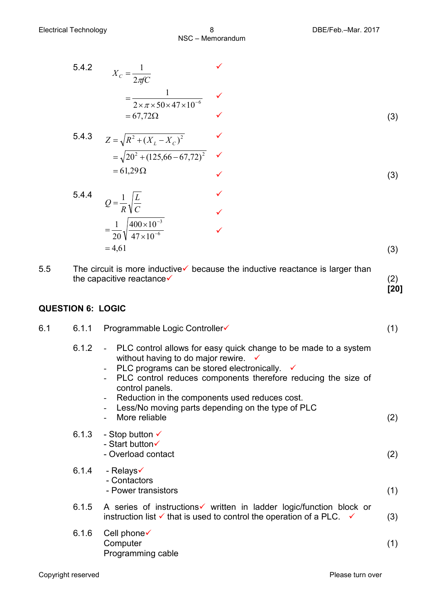$\checkmark$  (3)

5.4.2  
\n
$$
X_c = \frac{1}{2\pi fC}
$$
\n
$$
= \frac{1}{2 \times \pi \times 50 \times 47 \times 10^{-6}}
$$
\n
$$
= 67,72\Omega
$$
\n5.4.3  
\n
$$
Z = \sqrt{R^2 + (X_L - X_C)^2}
$$
\n
$$
= \sqrt{20^2 + (125,66 - 67,72)^2}
$$
\n
$$
= 61,29\Omega
$$
\n(3)

5.4.4  
\n
$$
Q = \frac{1}{R} \sqrt{\frac{L}{C}}
$$
\n
$$
= \frac{1}{20} \sqrt{\frac{400 \times 10^{-3}}{47 \times 10^{-6}}} \qquad \checkmark
$$
\n
$$
= 4,61
$$
\n(3)

5.5 The circuit is more inductive  $\checkmark$  because the inductive reactance is larger than the capacitive reactance  $\checkmark$  (2) **[20]**

#### **QUESTION 6: LOGIC**

| 6.1 | 6.1.1 | Programmable Logic Controller√                                                                                                                                                                                                                                                                                                                                                 | (1) |
|-----|-------|--------------------------------------------------------------------------------------------------------------------------------------------------------------------------------------------------------------------------------------------------------------------------------------------------------------------------------------------------------------------------------|-----|
|     | 6.1.2 | - PLC control allows for easy quick change to be made to a system<br>without having to do major rewire.<br>PLC programs can be stored electronically. $\checkmark$<br>PLC control reduces components therefore reducing the size of<br>control panels.<br>Reduction in the components used reduces cost.<br>Less/No moving parts depending on the type of PLC<br>More reliable | (2) |
|     | 6.1.3 | - Stop button $\checkmark$<br>- Start button√<br>- Overload contact                                                                                                                                                                                                                                                                                                            | (2) |
|     | 6.1.4 | - Relays√<br>- Contactors<br>- Power transistors                                                                                                                                                                                                                                                                                                                               | (1) |
|     | 6.1.5 | A series of instructions v written in ladder logic/function block or<br>instruction list $\checkmark$ that is used to control the operation of a PLC. $\checkmark$                                                                                                                                                                                                             | (3) |
|     | 6.1.6 | Cell phone√<br>Computer<br>Programming cable                                                                                                                                                                                                                                                                                                                                   | (1) |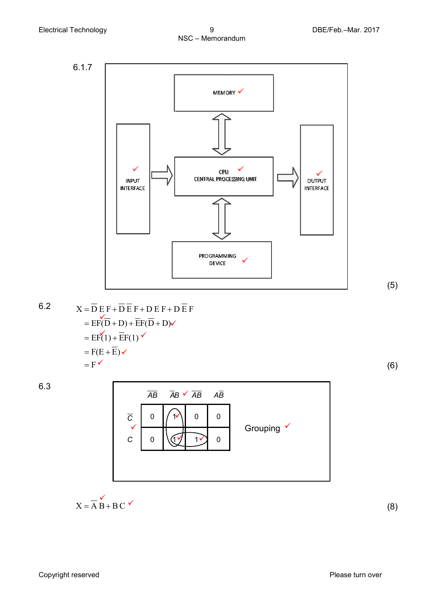

(5)

6.2 
$$
X = \overline{D} E F + \overline{D} \overline{E} F + D E F + D \overline{E} F
$$
  
\n
$$
= E F(\overline{D} + D) + \overline{E} F(\overline{D} + D) \checkmark
$$
  
\n
$$
= E F(1) + \overline{E} F(1) \checkmark
$$
  
\n
$$
= F(E + \overline{E}) \checkmark
$$
  
\n
$$
= F \checkmark
$$
 (6)

6.3



$$
X = \overline{A} \overset{\checkmark}{B} + B C \overset{\checkmark}{}
$$

(8)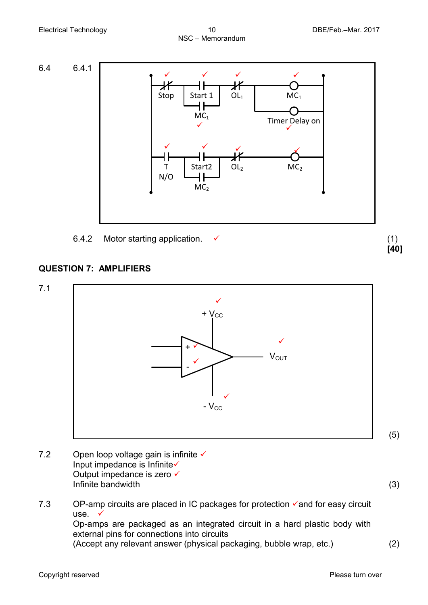

#### **QUESTION 7: AMPLIFIERS**



7.2 Open loop voltage gain is infinite  $\checkmark$ Input impedance is Infinite Output impedance is zero <del>✓</del> Infinite bandwidth (3)

(5)

7.3 OP-amp circuits are placed in IC packages for protection  $\checkmark$  and for easy circuit use.  $\checkmark$ Op-amps are packaged as an integrated circuit in a hard plastic body with external pins for connections into circuits (Accept any relevant answer (physical packaging, bubble wrap, etc.) (2)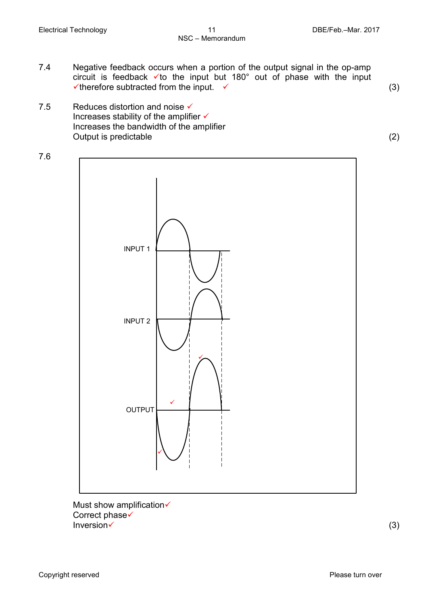- 7.4 Negative feedback occurs when a portion of the output signal in the op-amp circuit is feedback vto the input but 180° out of phase with the input  $\checkmark$  therefore subtracted from the input.  $\checkmark$  (3)
- 7.5 Reduces distortion and noise  $\checkmark$ Increases stability of the amplifier  $\checkmark$ Increases the bandwidth of the amplifier Output is predictable (2)



Must show amplification Correct phase√  $Inversion \checkmark$  (3)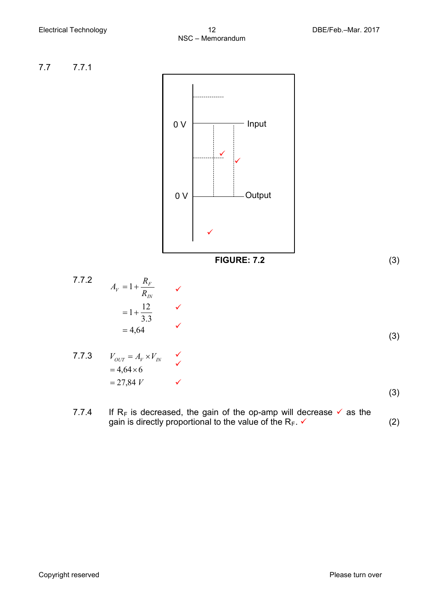

7.7.4 If R<sub>F</sub> is decreased, the gain of the op-amp will decrease  $\checkmark$  as the gain is directly proportional to the value of the  $R_F$ .  $\checkmark$  (2)